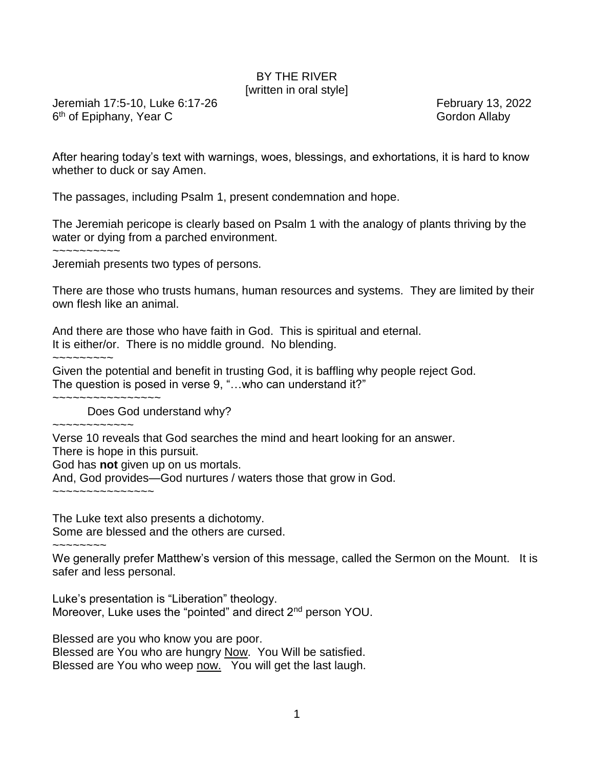## BY THE RIVER [written in oral style]

Jeremiah 17:5-10, Luke 6:17-26 February 13, 2022 6<sup>th</sup> of Epiphany, Year C Gordon Allaby

After hearing today's text with warnings, woes, blessings, and exhortations, it is hard to know whether to duck or say Amen.

The passages, including Psalm 1, present condemnation and hope.

The Jeremiah pericope is clearly based on Psalm 1 with the analogy of plants thriving by the water or dying from a parched environment.

 $\sim$ ~~~~~~~~

Jeremiah presents two types of persons.

There are those who trusts humans, human resources and systems. They are limited by their own flesh like an animal.

And there are those who have faith in God. This is spiritual and eternal. It is either/or. There is no middle ground. No blending.

Given the potential and benefit in trusting God, it is baffling why people reject God. The question is posed in verse 9, "…who can understand it?"

Does God understand why?

~~~~~~~~~~~~

~~~~~~~~~~~~~~~~

Verse 10 reveals that God searches the mind and heart looking for an answer.

There is hope in this pursuit.

God has **not** given up on us mortals.

And, God provides—God nurtures / waters those that grow in God.

~~~~~~~~~~~~~~~

The Luke text also presents a dichotomy. Some are blessed and the others are cursed.

~~~~~~~~

We generally prefer Matthew's version of this message, called the Sermon on the Mount. It is safer and less personal.

Luke's presentation is "Liberation" theology. Moreover, Luke uses the "pointed" and direct 2<sup>nd</sup> person YOU.

Blessed are you who know you are poor. Blessed are You who are hungry Now. You Will be satisfied. Blessed are You who weep now. You will get the last laugh.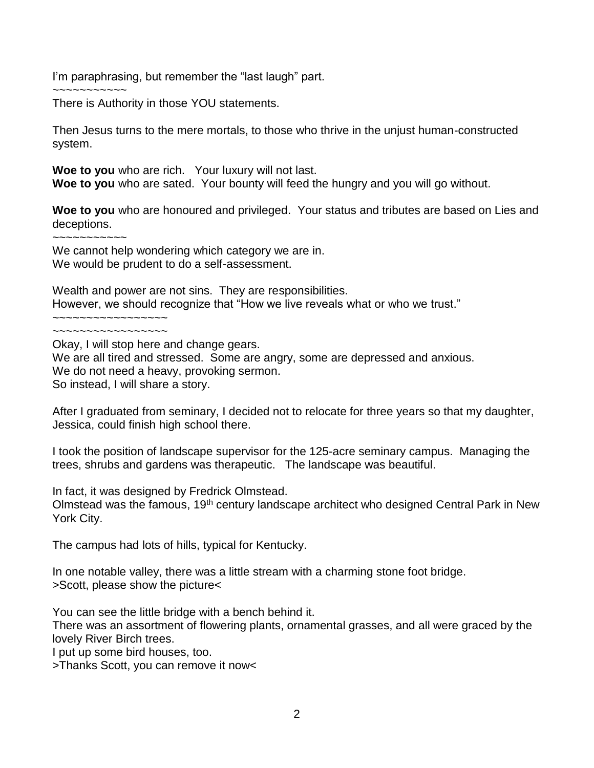I'm paraphrasing, but remember the "last laugh" part.

~~~~~~~~~~~ There is Authority in those YOU statements.

Then Jesus turns to the mere mortals, to those who thrive in the unjust human-constructed system.

**Woe to you** who are rich. Your luxury will not last. **Woe to you** who are sated. Your bounty will feed the hungry and you will go without.

**Woe to you** who are honoured and privileged. Your status and tributes are based on Lies and deceptions.

~~~~~~~~~~~

We cannot help wondering which category we are in. We would be prudent to do a self-assessment.

Wealth and power are not sins. They are responsibilities. However, we should recognize that "How we live reveals what or who we trust." ~~~~~~~~~~~~~~~~~

~~~~~~~~~~~~~~~~~

Okay, I will stop here and change gears.

We are all tired and stressed. Some are angry, some are depressed and anxious.

We do not need a heavy, provoking sermon.

So instead, I will share a story.

After I graduated from seminary, I decided not to relocate for three years so that my daughter, Jessica, could finish high school there.

I took the position of landscape supervisor for the 125-acre seminary campus. Managing the trees, shrubs and gardens was therapeutic. The landscape was beautiful.

In fact, it was designed by Fredrick Olmstead.

Olmstead was the famous, 19th century landscape architect who designed Central Park in New York City.

The campus had lots of hills, typical for Kentucky.

In one notable valley, there was a little stream with a charming stone foot bridge. >Scott, please show the picture<

You can see the little bridge with a bench behind it.

There was an assortment of flowering plants, ornamental grasses, and all were graced by the lovely River Birch trees.

I put up some bird houses, too.

>Thanks Scott, you can remove it now<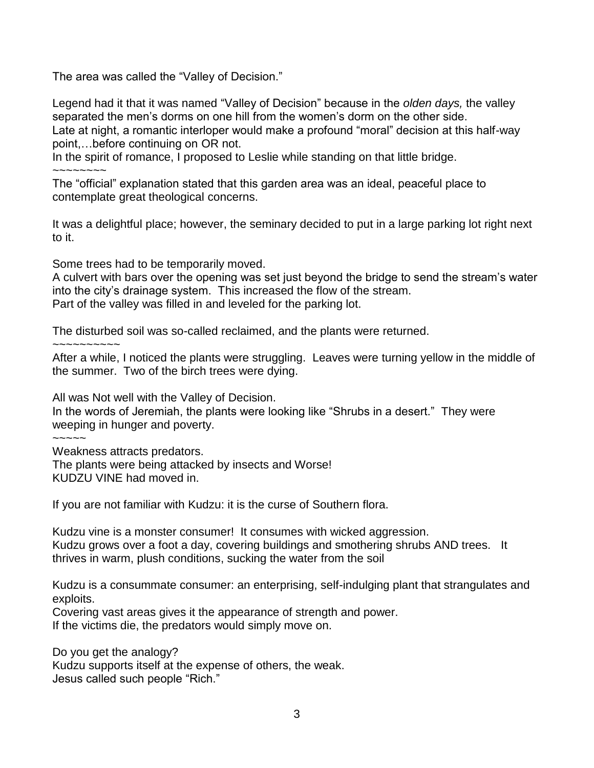The area was called the "Valley of Decision."

Legend had it that it was named "Valley of Decision" because in the *olden days,* the valley separated the men's dorms on one hill from the women's dorm on the other side. Late at night, a romantic interloper would make a profound "moral" decision at this half-way point,…before continuing on OR not.

In the spirit of romance, I proposed to Leslie while standing on that little bridge.

~~~~~~~~

The "official" explanation stated that this garden area was an ideal, peaceful place to contemplate great theological concerns.

It was a delightful place; however, the seminary decided to put in a large parking lot right next to it.

Some trees had to be temporarily moved.

A culvert with bars over the opening was set just beyond the bridge to send the stream's water into the city's drainage system. This increased the flow of the stream. Part of the valley was filled in and leveled for the parking lot.

The disturbed soil was so-called reclaimed, and the plants were returned.

 $~\sim$   $\sim$   $\sim$   $\sim$   $\sim$   $\sim$   $\sim$ 

After a while, I noticed the plants were struggling. Leaves were turning yellow in the middle of the summer. Two of the birch trees were dying.

All was Not well with the Valley of Decision.

In the words of Jeremiah, the plants were looking like "Shrubs in a desert." They were weeping in hunger and poverty.

~~~~~

Weakness attracts predators.

The plants were being attacked by insects and Worse! KUDZU VINE had moved in.

If you are not familiar with Kudzu: it is the curse of Southern flora.

Kudzu vine is a monster consumer! It consumes with wicked aggression. Kudzu grows over a foot a day, covering buildings and smothering shrubs AND trees. It thrives in warm, plush conditions, sucking the water from the soil

Kudzu is a consummate consumer: an enterprising, self-indulging plant that strangulates and exploits.

Covering vast areas gives it the appearance of strength and power.

If the victims die, the predators would simply move on.

Do you get the analogy? Kudzu supports itself at the expense of others, the weak. Jesus called such people "Rich."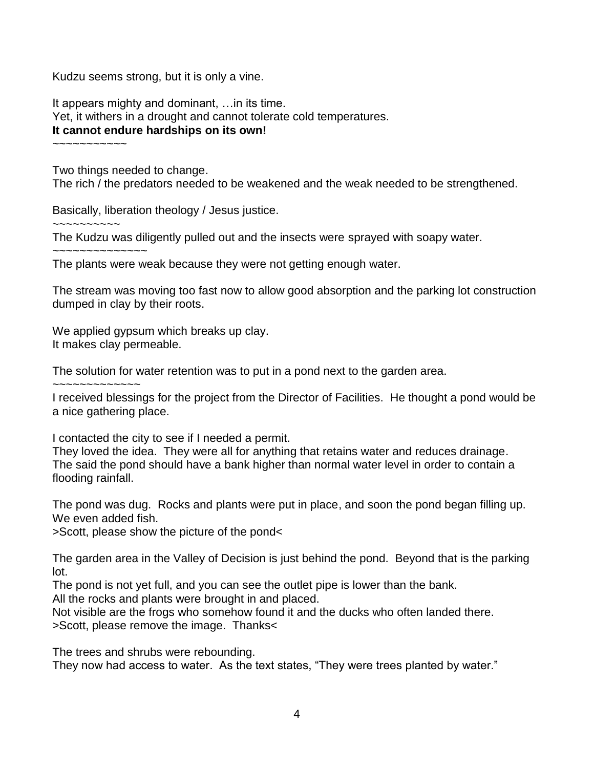Kudzu seems strong, but it is only a vine.

It appears mighty and dominant, …in its time. Yet, it withers in a drought and cannot tolerate cold temperatures. **It cannot endure hardships on its own!**

~~~~~~~~~~~

Two things needed to change.

The rich / the predators needed to be weakened and the weak needed to be strengthened.

Basically, liberation theology / Jesus justice.

~~~~~~~~~~

The Kudzu was diligently pulled out and the insects were sprayed with soapy water.

~~~~~~~~~~~~~~

The plants were weak because they were not getting enough water.

The stream was moving too fast now to allow good absorption and the parking lot construction dumped in clay by their roots.

We applied gypsum which breaks up clay. It makes clay permeable.

The solution for water retention was to put in a pond next to the garden area.

~~~~~~~~~~~~~

I received blessings for the project from the Director of Facilities. He thought a pond would be a nice gathering place.

I contacted the city to see if I needed a permit.

They loved the idea. They were all for anything that retains water and reduces drainage. The said the pond should have a bank higher than normal water level in order to contain a flooding rainfall.

The pond was dug. Rocks and plants were put in place, and soon the pond began filling up. We even added fish.

>Scott, please show the picture of the pond<

The garden area in the Valley of Decision is just behind the pond. Beyond that is the parking lot.

The pond is not yet full, and you can see the outlet pipe is lower than the bank.

All the rocks and plants were brought in and placed.

Not visible are the frogs who somehow found it and the ducks who often landed there. >Scott, please remove the image. Thanks<

The trees and shrubs were rebounding. They now had access to water. As the text states, "They were trees planted by water."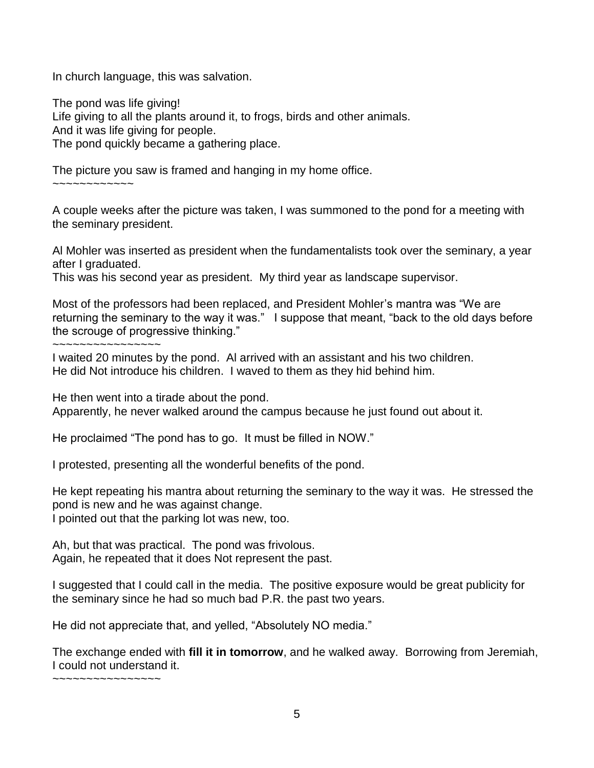In church language, this was salvation.

The pond was life giving! Life giving to all the plants around it, to frogs, birds and other animals. And it was life giving for people. The pond quickly became a gathering place.

The picture you saw is framed and hanging in my home office.

~~~~~~~~~~~~

A couple weeks after the picture was taken, I was summoned to the pond for a meeting with the seminary president.

Al Mohler was inserted as president when the fundamentalists took over the seminary, a year after I graduated.

This was his second year as president. My third year as landscape supervisor.

Most of the professors had been replaced, and President Mohler's mantra was "We are returning the seminary to the way it was." I suppose that meant, "back to the old days before the scrouge of progressive thinking."

~~~~~~~~~~~~~~~~

I waited 20 minutes by the pond. Al arrived with an assistant and his two children. He did Not introduce his children. I waved to them as they hid behind him.

He then went into a tirade about the pond.

Apparently, he never walked around the campus because he just found out about it.

He proclaimed "The pond has to go. It must be filled in NOW."

I protested, presenting all the wonderful benefits of the pond.

He kept repeating his mantra about returning the seminary to the way it was. He stressed the pond is new and he was against change.

I pointed out that the parking lot was new, too.

Ah, but that was practical. The pond was frivolous. Again, he repeated that it does Not represent the past.

I suggested that I could call in the media. The positive exposure would be great publicity for the seminary since he had so much bad P.R. the past two years.

He did not appreciate that, and yelled, "Absolutely NO media."

The exchange ended with **fill it in tomorrow**, and he walked away. Borrowing from Jeremiah, I could not understand it.

~~~~~~~~~~~~~~~~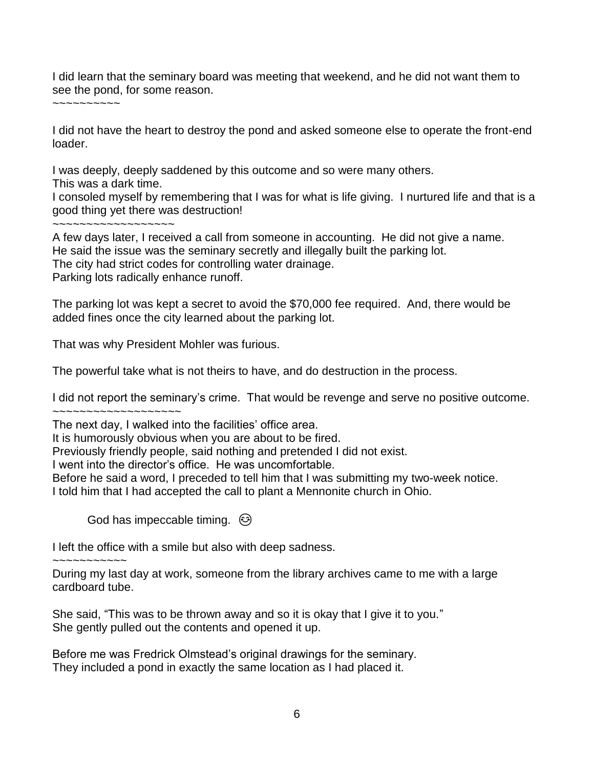I did learn that the seminary board was meeting that weekend, and he did not want them to see the pond, for some reason.

 $\sim$   $\sim$   $\sim$   $\sim$   $\sim$   $\sim$   $\sim$   $\sim$ 

I did not have the heart to destroy the pond and asked someone else to operate the front-end loader.

I was deeply, deeply saddened by this outcome and so were many others.

This was a dark time.

I consoled myself by remembering that I was for what is life giving. I nurtured life and that is a good thing yet there was destruction!

~~~~~~~~~~~~~~~~~~

A few days later, I received a call from someone in accounting. He did not give a name. He said the issue was the seminary secretly and illegally built the parking lot. The city had strict codes for controlling water drainage. Parking lots radically enhance runoff.

The parking lot was kept a secret to avoid the \$70,000 fee required. And, there would be added fines once the city learned about the parking lot.

That was why President Mohler was furious.

The powerful take what is not theirs to have, and do destruction in the process.

I did not report the seminary's crime. That would be revenge and serve no positive outcome.

~~~~~~~~~~~~~~~~~~~

The next day, I walked into the facilities' office area.

It is humorously obvious when you are about to be fired.

Previously friendly people, said nothing and pretended I did not exist.

I went into the director's office. He was uncomfortable.

Before he said a word, I preceded to tell him that I was submitting my two-week notice. I told him that I had accepted the call to plant a Mennonite church in Ohio.

God has impeccable timing.  $\odot$ 

I left the office with a smile but also with deep sadness.

~~~~~~~~~~~

During my last day at work, someone from the library archives came to me with a large cardboard tube.

She said, "This was to be thrown away and so it is okay that I give it to you." She gently pulled out the contents and opened it up.

Before me was Fredrick Olmstead's original drawings for the seminary. They included a pond in exactly the same location as I had placed it.